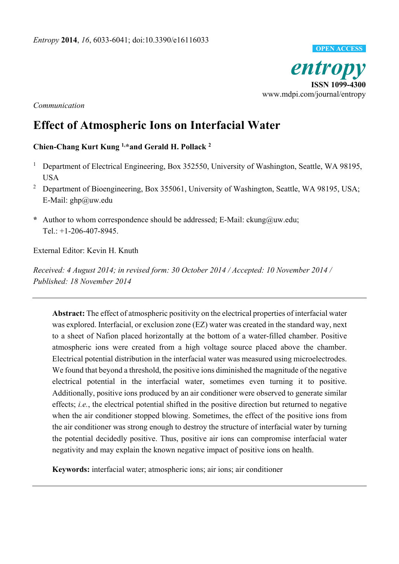

*Communication* 

# **Effect of Atmospheric Ions on Interfacial Water**

## **Chien-Chang Kurt Kung 1,\*and Gerald H. Pollack 2**

- 1 Department of Electrical Engineering, Box 352550, University of Washington, Seattle, WA 98195, USA
- <sup>2</sup> Department of Bioengineering, Box 355061, University of Washington, Seattle, WA 98195, USA; E-Mail:  $ghp@$ uw.edu
- **\*** Author to whom correspondence should be addressed; E-Mail: ckung@uw.edu; Tel.: +1-206-407-8945.

External Editor: Kevin H. Knuth

*Received: 4 August 2014; in revised form: 30 October 2014 / Accepted: 10 November 2014 / Published: 18 November 2014* 

**Abstract:** The effect of atmospheric positivity on the electrical properties of interfacial water was explored. Interfacial, or exclusion zone (EZ) water was created in the standard way, next to a sheet of Nafion placed horizontally at the bottom of a water-filled chamber. Positive atmospheric ions were created from a high voltage source placed above the chamber. Electrical potential distribution in the interfacial water was measured using microelectrodes. We found that beyond a threshold, the positive ions diminished the magnitude of the negative electrical potential in the interfacial water, sometimes even turning it to positive. Additionally, positive ions produced by an air conditioner were observed to generate similar effects; *i.e.*, the electrical potential shifted in the positive direction but returned to negative when the air conditioner stopped blowing. Sometimes, the effect of the positive ions from the air conditioner was strong enough to destroy the structure of interfacial water by turning the potential decidedly positive. Thus, positive air ions can compromise interfacial water negativity and may explain the known negative impact of positive ions on health.

**Keywords:** interfacial water; atmospheric ions; air ions; air conditioner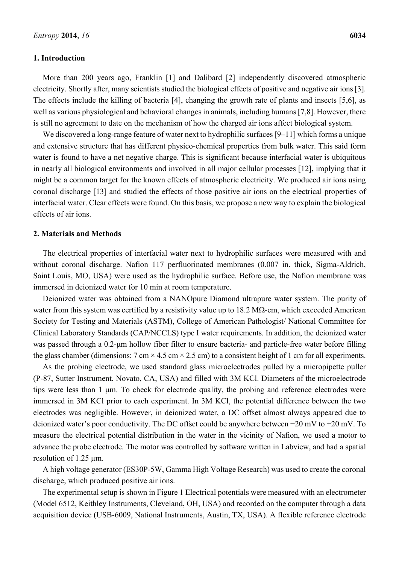#### **1. Introduction**

More than 200 years ago, Franklin [1] and Dalibard [2] independently discovered atmospheric electricity. Shortly after, many scientists studied the biological effects of positive and negative air ions [3]. The effects include the killing of bacteria [4], changing the growth rate of plants and insects [5,6], as well as various physiological and behavioral changes in animals, including humans [7,8]. However, there is still no agreement to date on the mechanism of how the charged air ions affect biological system.

We discovered a long-range feature of water next to hydrophilic surfaces [9–11] which forms a unique and extensive structure that has different physico-chemical properties from bulk water. This said form water is found to have a net negative charge. This is significant because interfacial water is ubiquitous in nearly all biological environments and involved in all major cellular processes [12], implying that it might be a common target for the known effects of atmospheric electricity. We produced air ions using coronal discharge [13] and studied the effects of those positive air ions on the electrical properties of interfacial water. Clear effects were found. On this basis, we propose a new way to explain the biological effects of air ions.

#### **2. Materials and Methods**

The electrical properties of interfacial water next to hydrophilic surfaces were measured with and without coronal discharge. Nafion 117 perfluorinated membranes (0.007 in. thick, Sigma-Aldrich, Saint Louis, MO, USA) were used as the hydrophilic surface. Before use, the Nafion membrane was immersed in deionized water for 10 min at room temperature.

Deionized water was obtained from a NANOpure Diamond ultrapure water system. The purity of water from this system was certified by a resistivity value up to 18.2 MΩ-cm, which exceeded American Society for Testing and Materials (ASTM), College of American Pathologist/ National Committee for Clinical Laboratory Standards (CAP/NCCLS) type I water requirements. In addition, the deionized water was passed through a 0.2-μm hollow fiber filter to ensure bacteria- and particle-free water before filling the glass chamber (dimensions:  $7 \text{ cm} \times 4.5 \text{ cm} \times 2.5 \text{ cm}$ ) to a consistent height of 1 cm for all experiments.

As the probing electrode, we used standard glass microelectrodes pulled by a micropipette puller (P-87, Sutter Instrument, Novato, CA, USA) and filled with 3M KCl. Diameters of the microelectrode tips were less than 1 μm. To check for electrode quality, the probing and reference electrodes were immersed in 3M KCl prior to each experiment. In 3M KCl, the potential difference between the two electrodes was negligible. However, in deionized water, a DC offset almost always appeared due to deionized water's poor conductivity. The DC offset could be anywhere between −20 mV to +20 mV. To measure the electrical potential distribution in the water in the vicinity of Nafion, we used a motor to advance the probe electrode. The motor was controlled by software written in Labview, and had a spatial resolution of 1.25 µm.

A high voltage generator (ES30P-5W, Gamma High Voltage Research) was used to create the coronal discharge, which produced positive air ions.

The experimental setup is shown in Figure 1 Electrical potentials were measured with an electrometer (Model 6512, Keithley Instruments, Cleveland, OH, USA) and recorded on the computer through a data acquisition device (USB-6009, National Instruments, Austin, TX, USA). A flexible reference electrode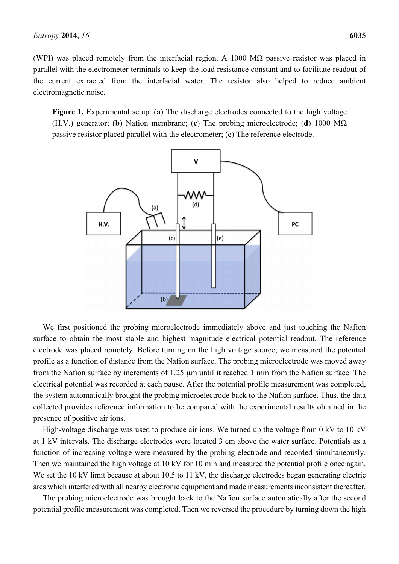(WPI) was placed remotely from the interfacial region. A 1000 M $\Omega$  passive resistor was placed in parallel with the electrometer terminals to keep the load resistance constant and to facilitate readout of the current extracted from the interfacial water. The resistor also helped to reduce ambient electromagnetic noise.

**Figure 1.** Experimental setup. (**a**) The discharge electrodes connected to the high voltage (H.V.) generator; (**b**) Nafion membrane; (**c**) The probing microelectrode; (**d**) 1000 MΩ passive resistor placed parallel with the electrometer; (**e**) The reference electrode.



We first positioned the probing microelectrode immediately above and just touching the Nafion surface to obtain the most stable and highest magnitude electrical potential readout. The reference electrode was placed remotely. Before turning on the high voltage source, we measured the potential profile as a function of distance from the Nafion surface. The probing microelectrode was moved away from the Nafion surface by increments of 1.25 µm until it reached 1 mm from the Nafion surface. The electrical potential was recorded at each pause. After the potential profile measurement was completed, the system automatically brought the probing microelectrode back to the Nafion surface. Thus, the data collected provides reference information to be compared with the experimental results obtained in the presence of positive air ions.

High-voltage discharge was used to produce air ions. We turned up the voltage from 0 kV to 10 kV at 1 kV intervals. The discharge electrodes were located 3 cm above the water surface. Potentials as a function of increasing voltage were measured by the probing electrode and recorded simultaneously. Then we maintained the high voltage at 10 kV for 10 min and measured the potential profile once again. We set the 10 kV limit because at about 10.5 to 11 kV, the discharge electrodes began generating electric arcs which interfered with all nearby electronic equipment and made measurements inconsistent thereafter.

The probing microelectrode was brought back to the Nafion surface automatically after the second potential profile measurement was completed. Then we reversed the procedure by turning down the high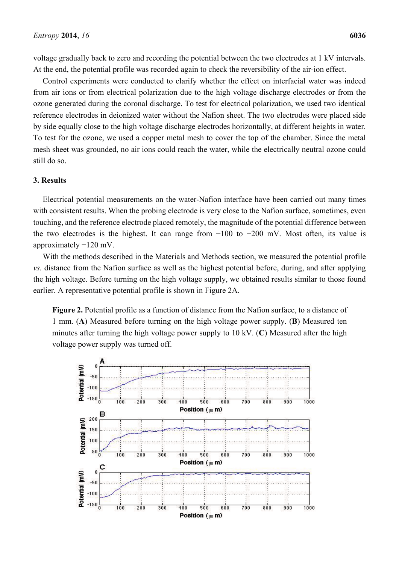voltage gradually back to zero and recording the potential between the two electrodes at 1 kV intervals. At the end, the potential profile was recorded again to check the reversibility of the air-ion effect.

Control experiments were conducted to clarify whether the effect on interfacial water was indeed from air ions or from electrical polarization due to the high voltage discharge electrodes or from the ozone generated during the coronal discharge. To test for electrical polarization, we used two identical reference electrodes in deionized water without the Nafion sheet. The two electrodes were placed side by side equally close to the high voltage discharge electrodes horizontally, at different heights in water. To test for the ozone, we used a copper metal mesh to cover the top of the chamber. Since the metal mesh sheet was grounded, no air ions could reach the water, while the electrically neutral ozone could still do so.

#### **3. Results**

Electrical potential measurements on the water-Nafion interface have been carried out many times with consistent results. When the probing electrode is very close to the Nafion surface, sometimes, even touching, and the reference electrode placed remotely, the magnitude of the potential difference between the two electrodes is the highest. It can range from −100 to −200 mV. Most often, its value is approximately −120 mV.

With the methods described in the Materials and Methods section, we measured the potential profile *vs.* distance from the Nafion surface as well as the highest potential before, during, and after applying the high voltage. Before turning on the high voltage supply, we obtained results similar to those found earlier. A representative potential profile is shown in Figure 2A.

**Figure 2.** Potential profile as a function of distance from the Nafion surface, to a distance of 1 mm. (**A**) Measured before turning on the high voltage power supply. (**B**) Measured ten minutes after turning the high voltage power supply to 10 kV. (**C**) Measured after the high voltage power supply was turned off.

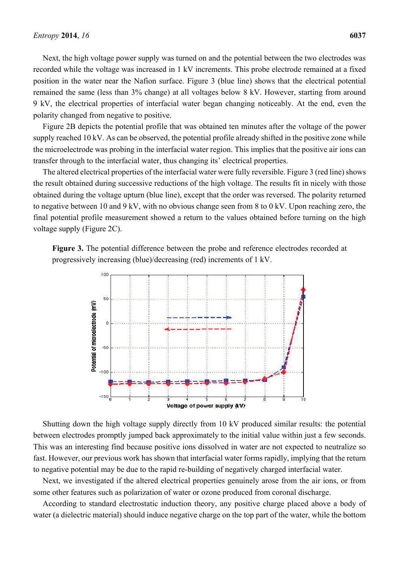Next, the high voltage power supply was turned on and the potential between the two electrodes was recorded while the voltage was increased in 1 kV increments. This probe electrode remained at a fixed position in the water near the Nafion surface. Figure 3 (blue line) shows that the electrical potential remained the same (less than 3% change) at all voltages below 8 kV. However, starting from around 9 kV, the electrical properties of interfacial water began changing noticeably. At the end, even the polarity changed from negative to positive.

Figure 2B depicts the potential profile that was obtained ten minutes after the voltage of the power supply reached 10 kV. As can be observed, the potential profile already shifted in the positive zone while the microelectrode was probing in the interfacial water region. This implies that the positive air ions can transfer through to the interfacial water, thus changing its' electrical properties.

The altered electrical properties of the interfacial water were fully reversible. Figure 3 (red line) shows the result obtained during successive reductions of the high voltage. The results fit in nicely with those obtained during the voltage upturn (blue line), except that the order was reversed. The polarity returned to negative between 10 and 9 kV, with no obvious change seen from 8 to 0 kV. Upon reaching zero, the final potential profile measurement showed a return to the values obtained before turning on the high voltage supply (Figure 2C).

**Figure 3.** The potential difference between the probe and reference electrodes recorded at progressively increasing (blue)/decreasing (red) increments of 1 kV.



Shutting down the high voltage supply directly from 10 kV produced similar results: the potential between electrodes promptly jumped back approximately to the initial value within just a few seconds. This was an interesting find because positive ions dissolved in water are not expected to neutralize so fast. However, our previous work has shown that interfacial water forms rapidly, implying that the return to negative potential may be due to the rapid re-building of negatively charged interfacial water.

Next, we investigated if the altered electrical properties genuinely arose from the air ions, or from some other features such as polarization of water or ozone produced from coronal discharge.

According to standard electrostatic induction theory, any positive charge placed above a body of water (a dielectric material) should induce negative charge on the top part of the water, while the bottom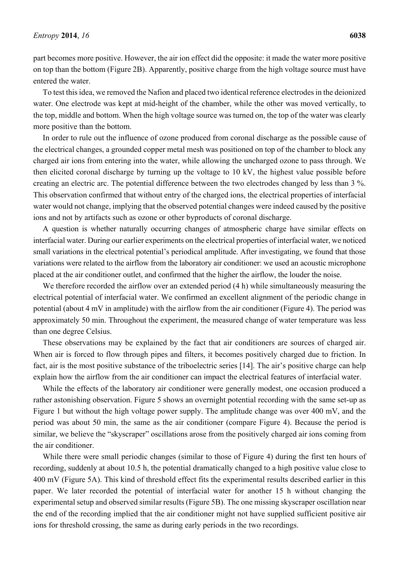part becomes more positive. However, the air ion effect did the opposite: it made the water more positive on top than the bottom (Figure 2B). Apparently, positive charge from the high voltage source must have entered the water.

To test this idea, we removed the Nafion and placed two identical reference electrodes in the deionized water. One electrode was kept at mid-height of the chamber, while the other was moved vertically, to the top, middle and bottom. When the high voltage source was turned on, the top of the water was clearly more positive than the bottom.

In order to rule out the influence of ozone produced from coronal discharge as the possible cause of the electrical changes, a grounded copper metal mesh was positioned on top of the chamber to block any charged air ions from entering into the water, while allowing the uncharged ozone to pass through. We then elicited coronal discharge by turning up the voltage to 10 kV, the highest value possible before creating an electric arc. The potential difference between the two electrodes changed by less than 3 %. This observation confirmed that without entry of the charged ions, the electrical properties of interfacial water would not change, implying that the observed potential changes were indeed caused by the positive ions and not by artifacts such as ozone or other byproducts of coronal discharge.

A question is whether naturally occurring changes of atmospheric charge have similar effects on interfacial water. During our earlier experiments on the electrical properties of interfacial water, we noticed small variations in the electrical potential's periodical amplitude. After investigating, we found that those variations were related to the airflow from the laboratory air conditioner: we used an acoustic microphone placed at the air conditioner outlet, and confirmed that the higher the airflow, the louder the noise.

We therefore recorded the airflow over an extended period  $(4 h)$  while simultaneously measuring the electrical potential of interfacial water. We confirmed an excellent alignment of the periodic change in potential (about 4 mV in amplitude) with the airflow from the air conditioner (Figure 4). The period was approximately 50 min. Throughout the experiment, the measured change of water temperature was less than one degree Celsius.

These observations may be explained by the fact that air conditioners are sources of charged air. When air is forced to flow through pipes and filters, it becomes positively charged due to friction. In fact, air is the most positive substance of the triboelectric series [14]. The air's positive charge can help explain how the airflow from the air conditioner can impact the electrical features of interfacial water.

While the effects of the laboratory air conditioner were generally modest, one occasion produced a rather astonishing observation. Figure 5 shows an overnight potential recording with the same set-up as Figure 1 but without the high voltage power supply. The amplitude change was over 400 mV, and the period was about 50 min, the same as the air conditioner (compare Figure 4). Because the period is similar, we believe the "skyscraper" oscillations arose from the positively charged air ions coming from the air conditioner.

While there were small periodic changes (similar to those of Figure 4) during the first ten hours of recording, suddenly at about 10.5 h, the potential dramatically changed to a high positive value close to 400 mV (Figure 5A). This kind of threshold effect fits the experimental results described earlier in this paper. We later recorded the potential of interfacial water for another 15 h without changing the experimental setup and observed similar results (Figure 5B). The one missing skyscraper oscillation near the end of the recording implied that the air conditioner might not have supplied sufficient positive air ions for threshold crossing, the same as during early periods in the two recordings.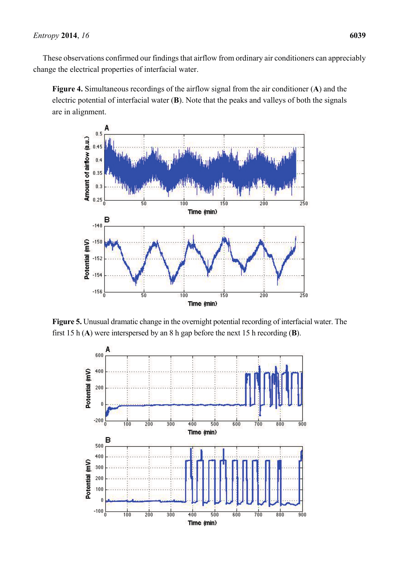change the electrical properties of interfacial water.

**Figure 4.** Simultaneous recordings of the airflow signal from the air conditioner (**A**) and the electric potential of interfacial water (**B**). Note that the peaks and valleys of both the signals are in alignment.



**Figure 5.** Unusual dramatic change in the overnight potential recording of interfacial water. The first 15 h (**A**) were interspersed by an 8 h gap before the next 15 h recording (**B**).

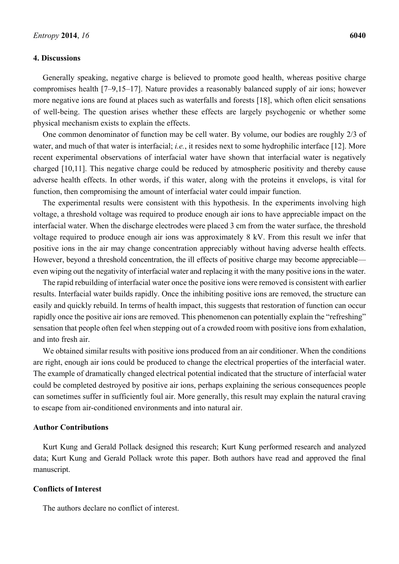#### **4. Discussions**

Generally speaking, negative charge is believed to promote good health, whereas positive charge compromises health [7–9,15–17]. Nature provides a reasonably balanced supply of air ions; however more negative ions are found at places such as waterfalls and forests [18], which often elicit sensations of well-being. The question arises whether these effects are largely psychogenic or whether some physical mechanism exists to explain the effects.

One common denominator of function may be cell water. By volume, our bodies are roughly 2/3 of water, and much of that water is interfacial; *i.e.*, it resides next to some hydrophilic interface [12]. More recent experimental observations of interfacial water have shown that interfacial water is negatively charged [10,11]. This negative charge could be reduced by atmospheric positivity and thereby cause adverse health effects. In other words, if this water, along with the proteins it envelops, is vital for function, then compromising the amount of interfacial water could impair function.

The experimental results were consistent with this hypothesis. In the experiments involving high voltage, a threshold voltage was required to produce enough air ions to have appreciable impact on the interfacial water. When the discharge electrodes were placed 3 cm from the water surface, the threshold voltage required to produce enough air ions was approximately 8 kV. From this result we infer that positive ions in the air may change concentration appreciably without having adverse health effects. However, beyond a threshold concentration, the ill effects of positive charge may become appreciable even wiping out the negativity of interfacial water and replacing it with the many positive ions in the water.

The rapid rebuilding of interfacial water once the positive ions were removed is consistent with earlier results. Interfacial water builds rapidly. Once the inhibiting positive ions are removed, the structure can easily and quickly rebuild. In terms of health impact, this suggests that restoration of function can occur rapidly once the positive air ions are removed. This phenomenon can potentially explain the "refreshing" sensation that people often feel when stepping out of a crowded room with positive ions from exhalation, and into fresh air.

We obtained similar results with positive ions produced from an air conditioner. When the conditions are right, enough air ions could be produced to change the electrical properties of the interfacial water. The example of dramatically changed electrical potential indicated that the structure of interfacial water could be completed destroyed by positive air ions, perhaps explaining the serious consequences people can sometimes suffer in sufficiently foul air. More generally, this result may explain the natural craving to escape from air-conditioned environments and into natural air.

#### **Author Contributions**

Kurt Kung and Gerald Pollack designed this research; Kurt Kung performed research and analyzed data; Kurt Kung and Gerald Pollack wrote this paper. Both authors have read and approved the final manuscript.

#### **Conflicts of Interest**

The authors declare no conflict of interest.